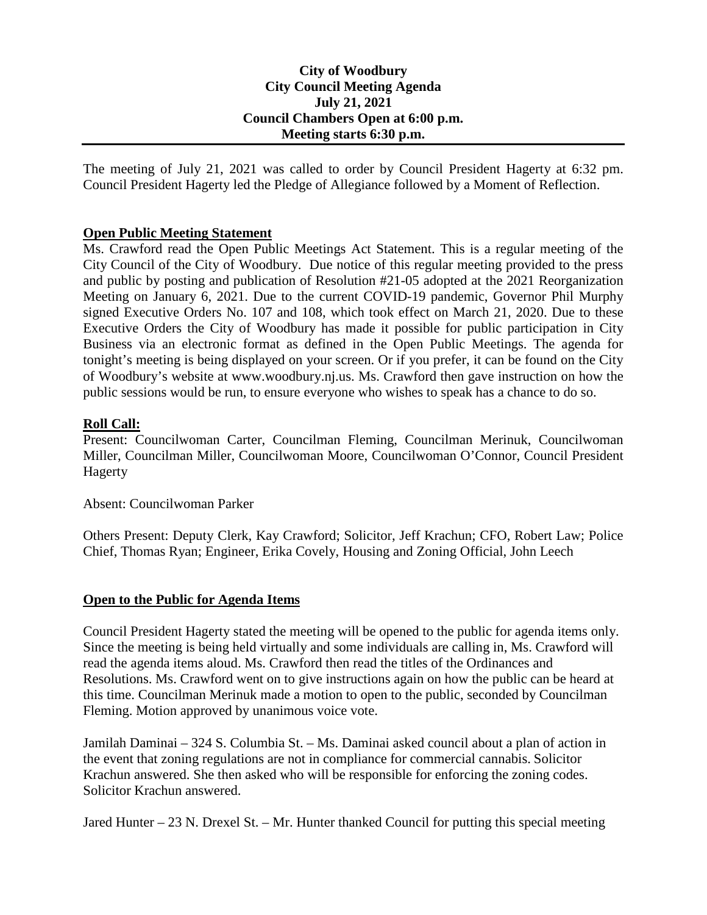# **City of Woodbury City Council Meeting Agenda July 21, 2021 Council Chambers Open at 6:00 p.m. Meeting starts 6:30 p.m.**

The meeting of July 21, 2021 was called to order by Council President Hagerty at 6:32 pm. Council President Hagerty led the Pledge of Allegiance followed by a Moment of Reflection.

# **Open Public Meeting Statement**

Ms. Crawford read the Open Public Meetings Act Statement. This is a regular meeting of the City Council of the City of Woodbury. Due notice of this regular meeting provided to the press and public by posting and publication of Resolution #21-05 adopted at the 2021 Reorganization Meeting on January 6, 2021. Due to the current COVID-19 pandemic, Governor Phil Murphy signed Executive Orders No. 107 and 108, which took effect on March 21, 2020. Due to these Executive Orders the City of Woodbury has made it possible for public participation in City Business via an electronic format as defined in the Open Public Meetings. The agenda for tonight's meeting is being displayed on your screen. Or if you prefer, it can be found on the City of Woodbury's website at www.woodbury.nj.us. Ms. Crawford then gave instruction on how the public sessions would be run, to ensure everyone who wishes to speak has a chance to do so.

## **Roll Call:**

Present: Councilwoman Carter, Councilman Fleming, Councilman Merinuk, Councilwoman Miller, Councilman Miller, Councilwoman Moore, Councilwoman O'Connor, Council President Hagerty

Absent: Councilwoman Parker

Others Present: Deputy Clerk, Kay Crawford; Solicitor, Jeff Krachun; CFO, Robert Law; Police Chief, Thomas Ryan; Engineer, Erika Covely, Housing and Zoning Official, John Leech

## **Open to the Public for Agenda Items**

Council President Hagerty stated the meeting will be opened to the public for agenda items only. Since the meeting is being held virtually and some individuals are calling in, Ms. Crawford will read the agenda items aloud. Ms. Crawford then read the titles of the Ordinances and Resolutions. Ms. Crawford went on to give instructions again on how the public can be heard at this time. Councilman Merinuk made a motion to open to the public, seconded by Councilman Fleming. Motion approved by unanimous voice vote.

Jamilah Daminai – 324 S. Columbia St. – Ms. Daminai asked council about a plan of action in the event that zoning regulations are not in compliance for commercial cannabis. Solicitor Krachun answered. She then asked who will be responsible for enforcing the zoning codes. Solicitor Krachun answered.

Jared Hunter  $-23$  N. Drexel St.  $-$  Mr. Hunter thanked Council for putting this special meeting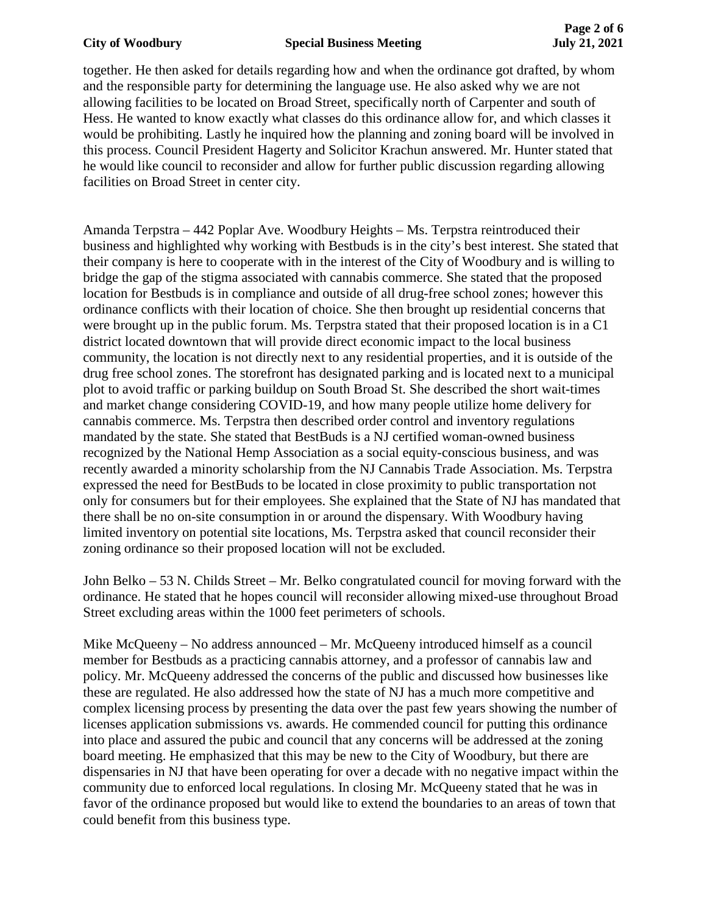### **City of Woodbury Special Business Meeting July 21, 2021**

together. He then asked for details regarding how and when the ordinance got drafted, by whom and the responsible party for determining the language use. He also asked why we are not allowing facilities to be located on Broad Street, specifically north of Carpenter and south of Hess. He wanted to know exactly what classes do this ordinance allow for, and which classes it would be prohibiting. Lastly he inquired how the planning and zoning board will be involved in this process. Council President Hagerty and Solicitor Krachun answered. Mr. Hunter stated that he would like council to reconsider and allow for further public discussion regarding allowing facilities on Broad Street in center city.

Amanda Terpstra – 442 Poplar Ave. Woodbury Heights – Ms. Terpstra reintroduced their business and highlighted why working with Bestbuds is in the city's best interest. She stated that their company is here to cooperate with in the interest of the City of Woodbury and is willing to bridge the gap of the stigma associated with cannabis commerce. She stated that the proposed location for Bestbuds is in compliance and outside of all drug-free school zones; however this ordinance conflicts with their location of choice. She then brought up residential concerns that were brought up in the public forum. Ms. Terpstra stated that their proposed location is in a C1 district located downtown that will provide direct economic impact to the local business community, the location is not directly next to any residential properties, and it is outside of the drug free school zones. The storefront has designated parking and is located next to a municipal plot to avoid traffic or parking buildup on South Broad St. She described the short wait-times and market change considering COVID-19, and how many people utilize home delivery for cannabis commerce. Ms. Terpstra then described order control and inventory regulations mandated by the state. She stated that BestBuds is a NJ certified woman-owned business recognized by the National Hemp Association as a social equity-conscious business, and was recently awarded a minority scholarship from the NJ Cannabis Trade Association. Ms. Terpstra expressed the need for BestBuds to be located in close proximity to public transportation not only for consumers but for their employees. She explained that the State of NJ has mandated that there shall be no on-site consumption in or around the dispensary. With Woodbury having limited inventory on potential site locations, Ms. Terpstra asked that council reconsider their zoning ordinance so their proposed location will not be excluded.

John Belko – 53 N. Childs Street – Mr. Belko congratulated council for moving forward with the ordinance. He stated that he hopes council will reconsider allowing mixed-use throughout Broad Street excluding areas within the 1000 feet perimeters of schools.

Mike McQueeny – No address announced – Mr. McQueeny introduced himself as a council member for Bestbuds as a practicing cannabis attorney, and a professor of cannabis law and policy. Mr. McQueeny addressed the concerns of the public and discussed how businesses like these are regulated. He also addressed how the state of NJ has a much more competitive and complex licensing process by presenting the data over the past few years showing the number of licenses application submissions vs. awards. He commended council for putting this ordinance into place and assured the pubic and council that any concerns will be addressed at the zoning board meeting. He emphasized that this may be new to the City of Woodbury, but there are dispensaries in NJ that have been operating for over a decade with no negative impact within the community due to enforced local regulations. In closing Mr. McQueeny stated that he was in favor of the ordinance proposed but would like to extend the boundaries to an areas of town that could benefit from this business type.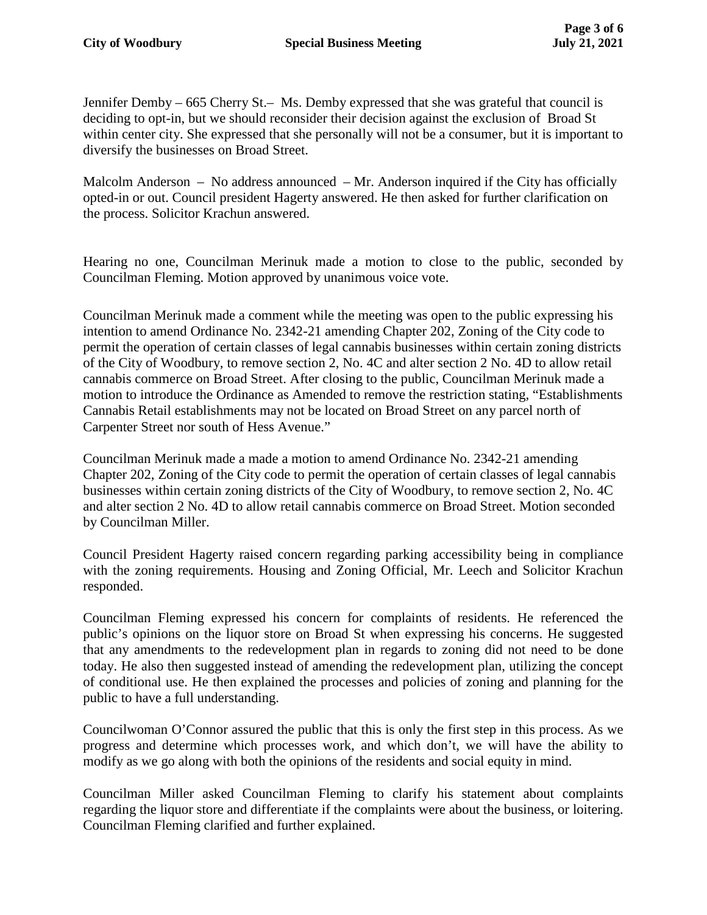Jennifer Demby – 665 Cherry St.– Ms. Demby expressed that she was grateful that council is deciding to opt-in, but we should reconsider their decision against the exclusion of Broad St within center city. She expressed that she personally will not be a consumer, but it is important to diversify the businesses on Broad Street.

Malcolm Anderson – No address announced – Mr. Anderson inquired if the City has officially opted-in or out. Council president Hagerty answered. He then asked for further clarification on the process. Solicitor Krachun answered.

Hearing no one, Councilman Merinuk made a motion to close to the public, seconded by Councilman Fleming. Motion approved by unanimous voice vote.

Councilman Merinuk made a comment while the meeting was open to the public expressing his intention to amend Ordinance No. 2342-21 amending Chapter 202, Zoning of the City code to permit the operation of certain classes of legal cannabis businesses within certain zoning districts of the City of Woodbury, to remove section 2, No. 4C and alter section 2 No. 4D to allow retail cannabis commerce on Broad Street. After closing to the public, Councilman Merinuk made a motion to introduce the Ordinance as Amended to remove the restriction stating, "Establishments Cannabis Retail establishments may not be located on Broad Street on any parcel north of Carpenter Street nor south of Hess Avenue."

Councilman Merinuk made a made a motion to amend Ordinance No. 2342-21 amending Chapter 202, Zoning of the City code to permit the operation of certain classes of legal cannabis businesses within certain zoning districts of the City of Woodbury, to remove section 2, No. 4C and alter section 2 No. 4D to allow retail cannabis commerce on Broad Street. Motion seconded by Councilman Miller.

Council President Hagerty raised concern regarding parking accessibility being in compliance with the zoning requirements. Housing and Zoning Official, Mr. Leech and Solicitor Krachun responded.

Councilman Fleming expressed his concern for complaints of residents. He referenced the public's opinions on the liquor store on Broad St when expressing his concerns. He suggested that any amendments to the redevelopment plan in regards to zoning did not need to be done today. He also then suggested instead of amending the redevelopment plan, utilizing the concept of conditional use. He then explained the processes and policies of zoning and planning for the public to have a full understanding.

Councilwoman O'Connor assured the public that this is only the first step in this process. As we progress and determine which processes work, and which don't, we will have the ability to modify as we go along with both the opinions of the residents and social equity in mind.

Councilman Miller asked Councilman Fleming to clarify his statement about complaints regarding the liquor store and differentiate if the complaints were about the business, or loitering. Councilman Fleming clarified and further explained.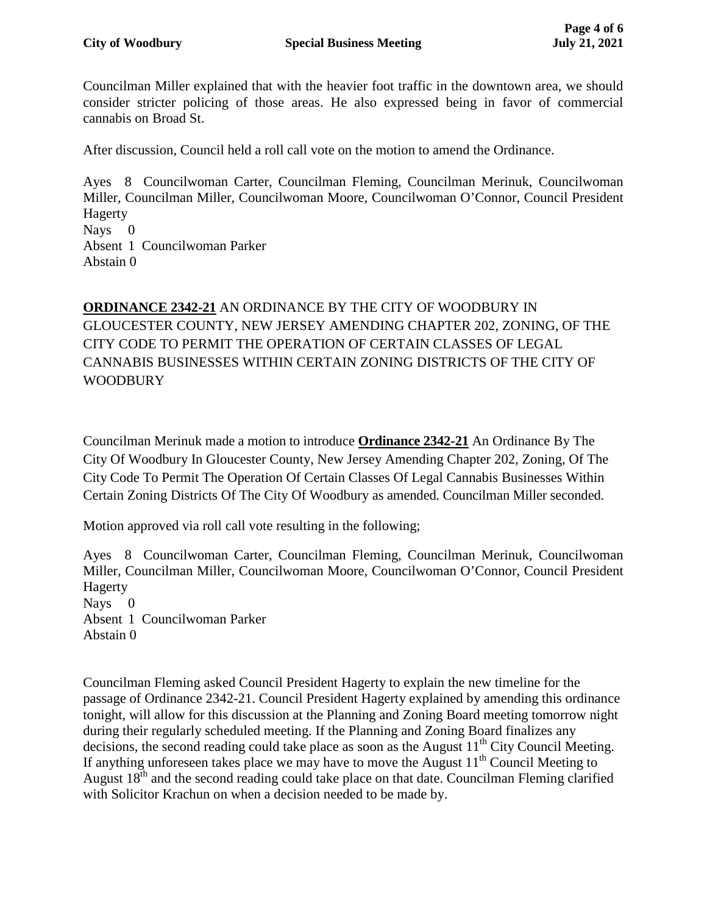Councilman Miller explained that with the heavier foot traffic in the downtown area, we should consider stricter policing of those areas. He also expressed being in favor of commercial cannabis on Broad St.

After discussion, Council held a roll call vote on the motion to amend the Ordinance.

Ayes 8 Councilwoman Carter, Councilman Fleming, Councilman Merinuk, Councilwoman Miller, Councilman Miller, Councilwoman Moore, Councilwoman O'Connor, Council President Hagerty

Nays 0 Absent 1 Councilwoman Parker

Abstain 0

# **ORDINANCE 2342-21** AN ORDINANCE BY THE CITY OF WOODBURY IN GLOUCESTER COUNTY, NEW JERSEY AMENDING CHAPTER 202, ZONING, OF THE CITY CODE TO PERMIT THE OPERATION OF CERTAIN CLASSES OF LEGAL CANNABIS BUSINESSES WITHIN CERTAIN ZONING DISTRICTS OF THE CITY OF WOODBURY

Councilman Merinuk made a motion to introduce **Ordinance 2342-21** An Ordinance By The City Of Woodbury In Gloucester County, New Jersey Amending Chapter 202, Zoning, Of The City Code To Permit The Operation Of Certain Classes Of Legal Cannabis Businesses Within Certain Zoning Districts Of The City Of Woodbury as amended. Councilman Miller seconded.

Motion approved via roll call vote resulting in the following;

Ayes 8 Councilwoman Carter, Councilman Fleming, Councilman Merinuk, Councilwoman Miller, Councilman Miller, Councilwoman Moore, Councilwoman O'Connor, Council President Hagerty Nays 0 Absent 1 Councilwoman Parker Abstain 0

Councilman Fleming asked Council President Hagerty to explain the new timeline for the passage of Ordinance 2342-21. Council President Hagerty explained by amending this ordinance tonight, will allow for this discussion at the Planning and Zoning Board meeting tomorrow night during their regularly scheduled meeting. If the Planning and Zoning Board finalizes any decisions, the second reading could take place as soon as the August  $11<sup>th</sup>$  City Council Meeting. If anything unforeseen takes place we may have to move the August  $11<sup>th</sup>$  Council Meeting to August  $18<sup>th</sup>$  and the second reading could take place on that date. Councilman Fleming clarified with Solicitor Krachun on when a decision needed to be made by.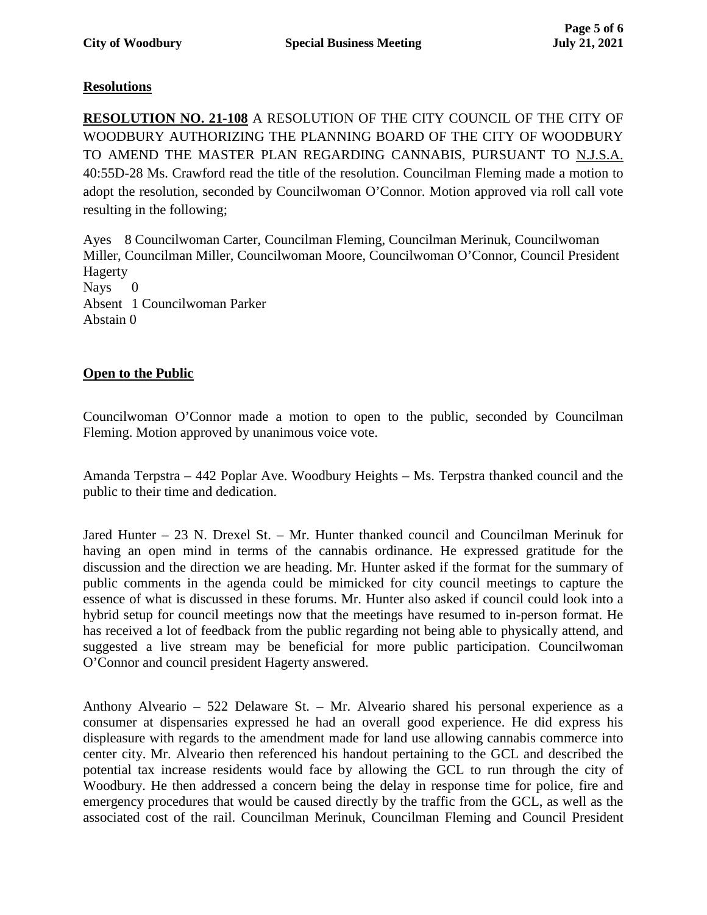# **Resolutions**

**RESOLUTION NO. 21-108** A RESOLUTION OF THE CITY COUNCIL OF THE CITY OF WOODBURY AUTHORIZING THE PLANNING BOARD OF THE CITY OF WOODBURY TO AMEND THE MASTER PLAN REGARDING CANNABIS, PURSUANT TO N.J.S.A. 40:55D-28 Ms. Crawford read the title of the resolution. Councilman Fleming made a motion to adopt the resolution, seconded by Councilwoman O'Connor. Motion approved via roll call vote resulting in the following;

Ayes 8 Councilwoman Carter, Councilman Fleming, Councilman Merinuk, Councilwoman Miller, Councilman Miller, Councilwoman Moore, Councilwoman O'Connor, Council President Hagerty Nays 0 Absent 1 Councilwoman Parker Abstain 0

# **Open to the Public**

Councilwoman O'Connor made a motion to open to the public, seconded by Councilman Fleming. Motion approved by unanimous voice vote.

Amanda Terpstra – 442 Poplar Ave. Woodbury Heights – Ms. Terpstra thanked council and the public to their time and dedication.

Jared Hunter – 23 N. Drexel St. – Mr. Hunter thanked council and Councilman Merinuk for having an open mind in terms of the cannabis ordinance. He expressed gratitude for the discussion and the direction we are heading. Mr. Hunter asked if the format for the summary of public comments in the agenda could be mimicked for city council meetings to capture the essence of what is discussed in these forums. Mr. Hunter also asked if council could look into a hybrid setup for council meetings now that the meetings have resumed to in-person format. He has received a lot of feedback from the public regarding not being able to physically attend, and suggested a live stream may be beneficial for more public participation. Councilwoman O'Connor and council president Hagerty answered.

Anthony Alveario – 522 Delaware St. – Mr. Alveario shared his personal experience as a consumer at dispensaries expressed he had an overall good experience. He did express his displeasure with regards to the amendment made for land use allowing cannabis commerce into center city. Mr. Alveario then referenced his handout pertaining to the GCL and described the potential tax increase residents would face by allowing the GCL to run through the city of Woodbury. He then addressed a concern being the delay in response time for police, fire and emergency procedures that would be caused directly by the traffic from the GCL, as well as the associated cost of the rail. Councilman Merinuk, Councilman Fleming and Council President